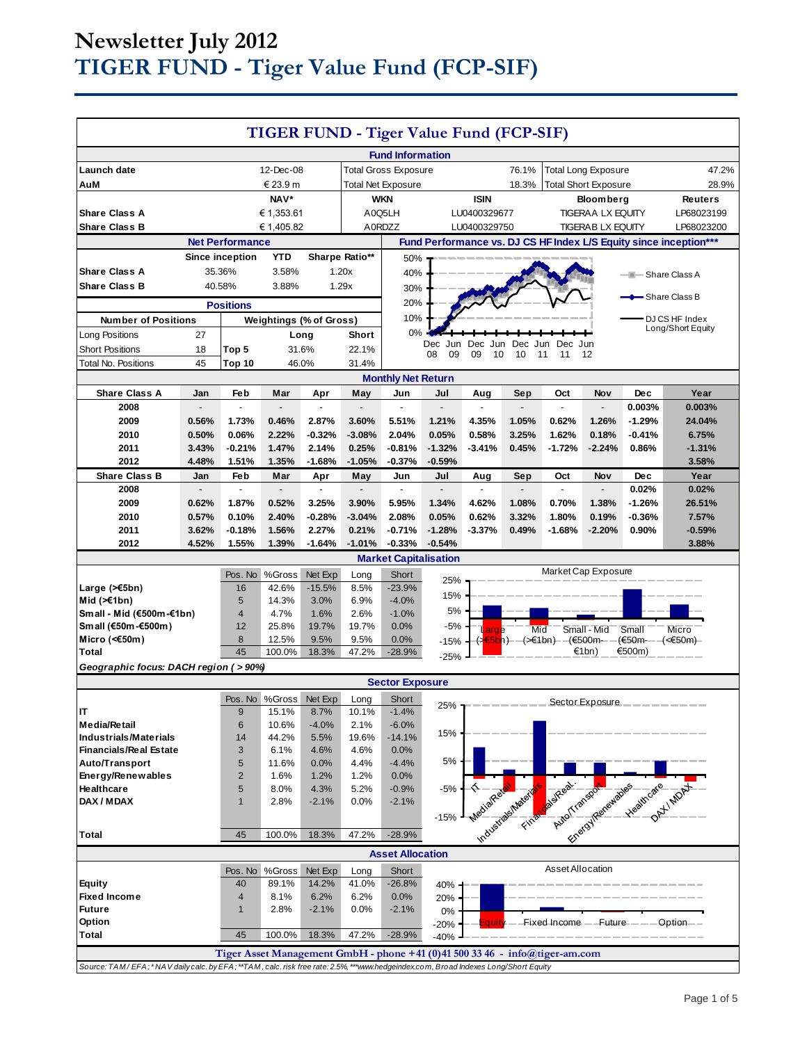| TIGER FUND - Tiger Value Fund (FCP-SIF)                                                                                             |                |                              |                                |                   |                   |                              |                        |                             |                |                                                                                                                                                                                                                                |                            |                                     |                                     |
|-------------------------------------------------------------------------------------------------------------------------------------|----------------|------------------------------|--------------------------------|-------------------|-------------------|------------------------------|------------------------|-----------------------------|----------------|--------------------------------------------------------------------------------------------------------------------------------------------------------------------------------------------------------------------------------|----------------------------|-------------------------------------|-------------------------------------|
| <b>Fund Information</b>                                                                                                             |                |                              |                                |                   |                   |                              |                        |                             |                |                                                                                                                                                                                                                                |                            |                                     |                                     |
| Launch date                                                                                                                         |                |                              | 12-Dec-08                      |                   |                   | <b>Total Gross Exposure</b>  |                        |                             | 76.1%          |                                                                                                                                                                                                                                | <b>Total Long Exposure</b> |                                     | 47.2%                               |
| € 23.9 m<br>AuM                                                                                                                     |                |                              | <b>Total Net Exposure</b>      |                   |                   |                              | 18.3%                  | <b>Total Short Exposure</b> |                |                                                                                                                                                                                                                                | 28.9%                      |                                     |                                     |
| NAV*                                                                                                                                |                |                              | <b>WKN</b>                     |                   |                   | <b>ISIN</b>                  |                        | <b>Bloomberg</b>            |                |                                                                                                                                                                                                                                | <b>Reuters</b>             |                                     |                                     |
| <b>Share Class A</b><br>€ 1,353.61                                                                                                  |                |                              | A0Q5LH                         |                   |                   | LU0400329677                 |                        | <b>TIGERAA LX EQUITY</b>    |                |                                                                                                                                                                                                                                | LP68023199                 |                                     |                                     |
| <b>Share Class B</b>                                                                                                                |                |                              | € 1,405.82                     |                   |                   | A0RDZZ                       |                        | LU0400329750                |                |                                                                                                                                                                                                                                | <b>TIGERAB LX EQUITY</b>   |                                     | LP68023200                          |
| <b>Net Performance</b><br>Fund Performance vs. DJ CS HF Index L/S Equity since inception***                                         |                |                              |                                |                   |                   |                              |                        |                             |                |                                                                                                                                                                                                                                |                            |                                     |                                     |
|                                                                                                                                     |                | Since inception              | <b>YTD</b>                     |                   | Sharpe Ratio**    | 50%                          |                        |                             |                |                                                                                                                                                                                                                                |                            |                                     |                                     |
| <b>Share Class A</b>                                                                                                                |                | 35.36%                       | 3.58%                          |                   | 1.20x             | 40%                          |                        |                             |                |                                                                                                                                                                                                                                |                            | <b>No. 5 Share Class A</b>          |                                     |
| <b>Share Class B</b><br>40.58%<br>1.29x<br>3.88%<br>30%                                                                             |                |                              |                                |                   |                   |                              |                        |                             |                |                                                                                                                                                                                                                                |                            | $\blacktriangleright$ Share Class B |                                     |
| 20%<br><b>Positions</b>                                                                                                             |                |                              |                                |                   |                   |                              |                        |                             |                |                                                                                                                                                                                                                                |                            |                                     |                                     |
| <b>Number of Positions</b>                                                                                                          |                |                              | <b>Weightings (% of Gross)</b> |                   |                   | 10%                          |                        |                             |                |                                                                                                                                                                                                                                |                            |                                     | DJ CS HF Index<br>Long/Short Equity |
| Long Positions                                                                                                                      | 27             |                              |                                | Long              | Short             | 0%                           |                        |                             |                |                                                                                                                                                                                                                                |                            |                                     |                                     |
| <b>Short Positions</b>                                                                                                              | 18             | Top 5                        | 31.6%                          |                   | 22.1%             |                              | Jun<br>Dec<br>09<br>08 | Dec<br>Jun<br>09<br>10      | Dec<br>10      | Dec<br>Jun<br>11<br>11                                                                                                                                                                                                         | Jun<br>12                  |                                     |                                     |
| <b>Total No. Positions</b>                                                                                                          | 45             | Top 10                       | 46.0%                          |                   | 31.4%             |                              |                        |                             |                |                                                                                                                                                                                                                                |                            |                                     |                                     |
|                                                                                                                                     |                |                              |                                |                   |                   | <b>Monthly Net Return</b>    |                        |                             |                |                                                                                                                                                                                                                                |                            |                                     |                                     |
| <b>Share Class A</b>                                                                                                                | Jan            | Feb                          | Mar                            | Apr               | May               | Jun                          | Jul                    | Aug                         | Sep            | Oct                                                                                                                                                                                                                            | Nov                        | <b>Dec</b>                          | Year                                |
| 2008                                                                                                                                |                |                              |                                |                   |                   |                              |                        |                             |                |                                                                                                                                                                                                                                | $\overline{a}$             | 0.003%                              | 0.003%                              |
| 2009                                                                                                                                | 0.56%          | 1.73%                        | 0.46%                          | 2.87%             | 3.60%             | 5.51%                        | 1.21%                  | 4.35%                       | 1.05%          | 0.62%                                                                                                                                                                                                                          | 1.26%                      | $-1.29%$                            | 24.04%                              |
| 2010<br>2011                                                                                                                        | 0.50%<br>3.43% | 0.06%<br>$-0.21%$            | 2.22%<br>1.47%                 | $-0.32%$          | $-3.08%$<br>0.25% | 2.04%                        | 0.05%<br>$-1.32%$      | 0.58%<br>$-3.41%$           | 3.25%<br>0.45% | 1.62%<br>$-1.72%$                                                                                                                                                                                                              | 0.18%<br>$-2.24%$          | $-0.41%$                            | 6.75%                               |
| 2012                                                                                                                                | 4.48%          | 1.51%                        | 1.35%                          | 2.14%<br>$-1.68%$ | $-1.05%$          | $-0.81%$<br>-0.37%           | $-0.59%$               |                             |                |                                                                                                                                                                                                                                |                            | 0.86%                               | $-1.31%$<br>3.58%                   |
| <b>Share Class B</b>                                                                                                                | Jan            | Feb                          | Mar                            | Apr               | May               | Jun                          | Jul                    | Aug                         | Sep            | Oct                                                                                                                                                                                                                            | Nov                        | <b>Dec</b>                          | Year                                |
| 2008                                                                                                                                |                |                              |                                |                   |                   |                              |                        |                             |                | $\overline{a}$                                                                                                                                                                                                                 |                            | 0.02%                               | 0.02%                               |
| 2009                                                                                                                                | 0.62%          | 1.87%                        | 0.52%                          | 3.25%             | 3.90%             | 5.95%                        | 1.34%                  | 4.62%                       | 1.08%          | 0.70%                                                                                                                                                                                                                          | 1.38%                      | $-1.26%$                            | 26.51%                              |
| 2010                                                                                                                                | 0.57%          | 0.10%                        | 2.40%                          | $-0.28%$          | $-3.04%$          | 2.08%                        | 0.05%                  | 0.62%                       | 3.32%          | 1.80%                                                                                                                                                                                                                          | 0.19%                      | $-0.36%$                            | 7.57%                               |
| 2011                                                                                                                                | 3.62%          | $-0.18%$                     | 1.56%                          | 2.27%             | 0.21%             | $-0.71%$                     | $-1.28%$               | $-3.37%$                    | 0.49%          | $-1.68%$                                                                                                                                                                                                                       | $-2.20%$                   | 0.90%                               | $-0.59%$                            |
| 2012                                                                                                                                | 4.52%          | 1.55%                        | 1.39%                          | $-1.64%$          | $-1.01%$          | $-0.33%$                     | $-0.54%$               |                             |                |                                                                                                                                                                                                                                |                            |                                     | 3.88%                               |
|                                                                                                                                     |                |                              |                                |                   |                   | <b>Market Capitalisation</b> |                        |                             |                |                                                                                                                                                                                                                                |                            |                                     |                                     |
|                                                                                                                                     |                | Pos. No                      | %Gross                         | Net Exp           | Long              | Short                        | 25%                    |                             |                | Market Cap Exposure                                                                                                                                                                                                            |                            |                                     |                                     |
| Large $($ $\leq$ 5bn)                                                                                                               |                | 16                           | 42.6%                          | $-15.5%$          | 8.5%              | $-23.9%$                     | 15%                    |                             |                |                                                                                                                                                                                                                                |                            |                                     |                                     |
| Mid $(\ge 1$ bn)                                                                                                                    |                | 5                            | 14.3%                          | 3.0%              | 6.9%              | $-4.0%$                      | 5%                     |                             |                |                                                                                                                                                                                                                                |                            |                                     |                                     |
| Small - Mid (€500m-€1bn)<br>Small (€50m-€500m)                                                                                      |                | 4<br>12                      | 4.7%<br>25.8%                  | 1.6%<br>19.7%     | 2.6%<br>19.7%     | $-1.0%$<br>0.0%              | $-5%$                  |                             |                |                                                                                                                                                                                                                                |                            |                                     |                                     |
| Micro (< $60$ m)                                                                                                                    |                | 8                            | 12.5%                          | 9.5%              | 9.5%              | 0.0%                         | $-15%$                 | ardē                        | Mid            | (> <mark>€5b</mark> n) – (>€1bn) – (€500m –                                                                                                                                                                                    | Small - Mid                | Small<br>-(€50m-— –(<€50m)          | Micro                               |
| <b>Total</b>                                                                                                                        |                | 45                           | 100.0%                         | 18.3%             | 47.2%             | $-28.9%$                     | $-25%$                 |                             |                |                                                                                                                                                                                                                                | €1bn)                      | €500m)                              |                                     |
| Geographic focus: DACH region (>90%)                                                                                                |                |                              |                                |                   |                   |                              |                        |                             |                |                                                                                                                                                                                                                                |                            |                                     |                                     |
| <b>Sector Exposure</b>                                                                                                              |                |                              |                                |                   |                   |                              |                        |                             |                |                                                                                                                                                                                                                                |                            |                                     |                                     |
|                                                                                                                                     |                |                              | Pos. No %Gross                 | Net Exp           | Long              | Short                        |                        |                             |                |                                                                                                                                                                                                                                | Sector Exposure            |                                     |                                     |
| IT                                                                                                                                  |                | 9                            | 15.1%                          | 8.7%              | 10.1%             | $-1.4%$                      | $25\%$ T               |                             |                |                                                                                                                                                                                                                                |                            |                                     |                                     |
| <b>Media/Retail</b>                                                                                                                 |                | 6                            | 10.6%                          | $-4.0%$           | 2.1%              | $-6.0%$                      |                        |                             |                |                                                                                                                                                                                                                                |                            |                                     |                                     |
| <b>Industrials/Materials</b>                                                                                                        |                | 14                           | 44.2%                          | 5.5%              | 19.6%             | $-14.1%$                     | 15%                    |                             |                |                                                                                                                                                                                                                                |                            |                                     |                                     |
| <b>Financials/Real Estate</b>                                                                                                       |                | 3                            | 6.1%<br>11.6%                  | 4.6%              | 4.6%<br>4.4%      | 0.0%<br>$-4.4%$              | $5\%$                  |                             |                |                                                                                                                                                                                                                                |                            |                                     |                                     |
| Auto/Transport<br>Energy/Renewables                                                                                                 |                | 5<br>$\overline{\mathbf{c}}$ | 1.6%                           | 0.0%<br>1.2%      | 1.2%              | 0.0%                         |                        |                             |                |                                                                                                                                                                                                                                |                            |                                     |                                     |
| Healthcare                                                                                                                          |                | 5                            | 8.0%                           | 4.3%              | 5.2%              | $-0.9%$                      | $-5%$                  |                             |                |                                                                                                                                                                                                                                |                            |                                     |                                     |
| DAX / MDAX                                                                                                                          |                | $\mathbf{1}$                 | 2.8%                           | $-2.1%$           | 0.0%              | $-2.1%$                      |                        |                             |                |                                                                                                                                                                                                                                |                            |                                     |                                     |
|                                                                                                                                     |                |                              |                                |                   |                   |                              | $-15%$                 |                             |                |                                                                                                                                                                                                                                |                            |                                     |                                     |
| Total                                                                                                                               |                | 45                           | 100.0%                         | 18.3%             | 47.2%             | $-28.9%$                     |                        |                             |                | Integrate strategy of care of the care of the strategy of the care of the care of the care of the care of the care of the care of the care of the care of the care of the care of the care of the care of the care of the care |                            |                                     |                                     |
|                                                                                                                                     |                |                              |                                |                   |                   |                              |                        |                             |                |                                                                                                                                                                                                                                |                            |                                     |                                     |
| <b>Asset Allocation</b><br>Asset Allocation                                                                                         |                |                              |                                |                   |                   |                              |                        |                             |                |                                                                                                                                                                                                                                |                            |                                     |                                     |
| Equity                                                                                                                              |                | 40                           | Pos. No %Gross<br>89.1%        | Net Exp<br>14.2%  | Long<br>41.0%     | Short<br>$-26.8%$            |                        |                             |                |                                                                                                                                                                                                                                |                            |                                     |                                     |
| <b>Fixed Income</b>                                                                                                                 |                | 4                            | 8.1%                           | 6.2%              | 6.2%              | 0.0%                         | 40%<br>20%             |                             |                |                                                                                                                                                                                                                                |                            |                                     |                                     |
| <b>Future</b>                                                                                                                       |                | $\mathbf{1}$                 | 2.8%                           | $-2.1%$           | 0.0%              | $-2.1%$                      | 0%                     |                             |                |                                                                                                                                                                                                                                |                            |                                     |                                     |
| Option                                                                                                                              |                |                              |                                |                   |                   |                              | $-20%$                 | :auitv                      |                | Fixed Income -                                                                                                                                                                                                                 | Future                     |                                     | Option-                             |
| <b>Total</b>                                                                                                                        |                | 45                           | 100.0%                         | 18.3%             | 47.2%             | $-28.9%$                     | $-40%$                 |                             |                |                                                                                                                                                                                                                                |                            |                                     |                                     |
|                                                                                                                                     |                |                              |                                |                   |                   |                              |                        |                             |                | Tiger Asset Management GmbH - phone +41 (0)41 500 33 46 - info@tiger-am.com                                                                                                                                                    |                            |                                     |                                     |
| Source: TAM/EFA; *NAV daily calc. by EFA; **TAM, calc. risk free rate: 2.5%, ***www.hedgeindex.com, Broad Indexes Long/Short Equity |                |                              |                                |                   |                   |                              |                        |                             |                |                                                                                                                                                                                                                                |                            |                                     |                                     |
|                                                                                                                                     |                |                              |                                |                   |                   |                              |                        |                             |                |                                                                                                                                                                                                                                |                            |                                     |                                     |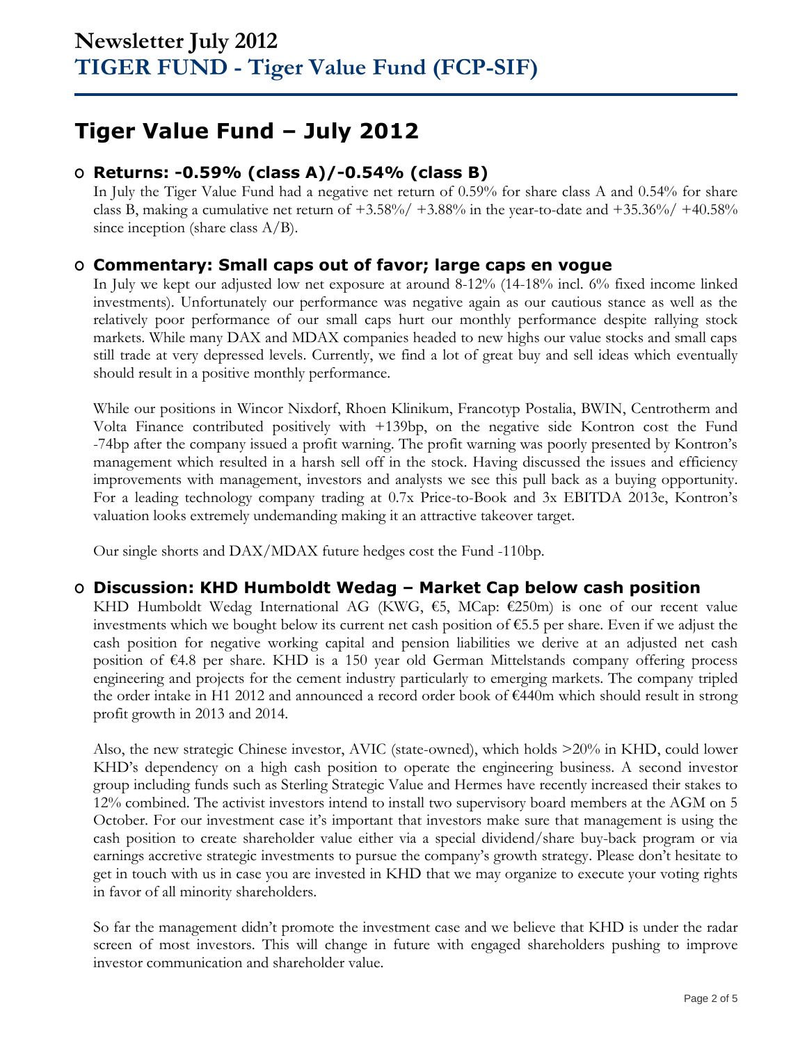# **Tiger Value Fund – July 2012**

## **O Returns: -0.59% (class A)/-0.54% (class B)**

In July the Tiger Value Fund had a negative net return of 0.59% for share class A and 0.54% for share class B, making a cumulative net return of  $+3.58\%/ +3.88\%$  in the year-to-date and  $+35.36\%/ +40.58\%$ since inception (share class  $A/B$ ).

## **O Commentary: Small caps out of favor; large caps en vogue**

In July we kept our adjusted low net exposure at around 8-12% (14-18% incl. 6% fixed income linked investments). Unfortunately our performance was negative again as our cautious stance as well as the relatively poor performance of our small caps hurt our monthly performance despite rallying stock markets. While many DAX and MDAX companies headed to new highs our value stocks and small caps still trade at very depressed levels. Currently, we find a lot of great buy and sell ideas which eventually should result in a positive monthly performance.

While our positions in Wincor Nixdorf, Rhoen Klinikum, Francotyp Postalia, BWIN, Centrotherm and Volta Finance contributed positively with +139bp, on the negative side Kontron cost the Fund -74bp after the company issued a profit warning. The profit warning was poorly presented by Kontron's management which resulted in a harsh sell off in the stock. Having discussed the issues and efficiency improvements with management, investors and analysts we see this pull back as a buying opportunity. For a leading technology company trading at 0.7x Price-to-Book and 3x EBITDA 2013e, Kontron's valuation looks extremely undemanding making it an attractive takeover target.

Our single shorts and DAX/MDAX future hedges cost the Fund -110bp.

## **O Discussion: KHD Humboldt Wedag – Market Cap below cash position**

KHD Humboldt Wedag International AG (KWG, €5, MCap: €250m) is one of our recent value investments which we bought below its current net cash position of  $\epsilon$ 5.5 per share. Even if we adjust the cash position for negative working capital and pension liabilities we derive at an adjusted net cash position of €4.8 per share. KHD is a 150 year old German Mittelstands company offering process engineering and projects for the cement industry particularly to emerging markets. The company tripled the order intake in H1 2012 and announced a record order book of €440m which should result in strong profit growth in 2013 and 2014.

Also, the new strategic Chinese investor, AVIC (state-owned), which holds >20% in KHD, could lower KHD's dependency on a high cash position to operate the engineering business. A second investor group including funds such as Sterling Strategic Value and Hermes have recently increased their stakes to 12% combined. The activist investors intend to install two supervisory board members at the AGM on 5 October. For our investment case it's important that investors make sure that management is using the cash position to create shareholder value either via a special dividend/share buy-back program or via earnings accretive strategic investments to pursue the company's growth strategy. Please don't hesitate to get in touch with us in case you are invested in KHD that we may organize to execute your voting rights in favor of all minority shareholders.

So far the management didn't promote the investment case and we believe that KHD is under the radar screen of most investors. This will change in future with engaged shareholders pushing to improve investor communication and shareholder value.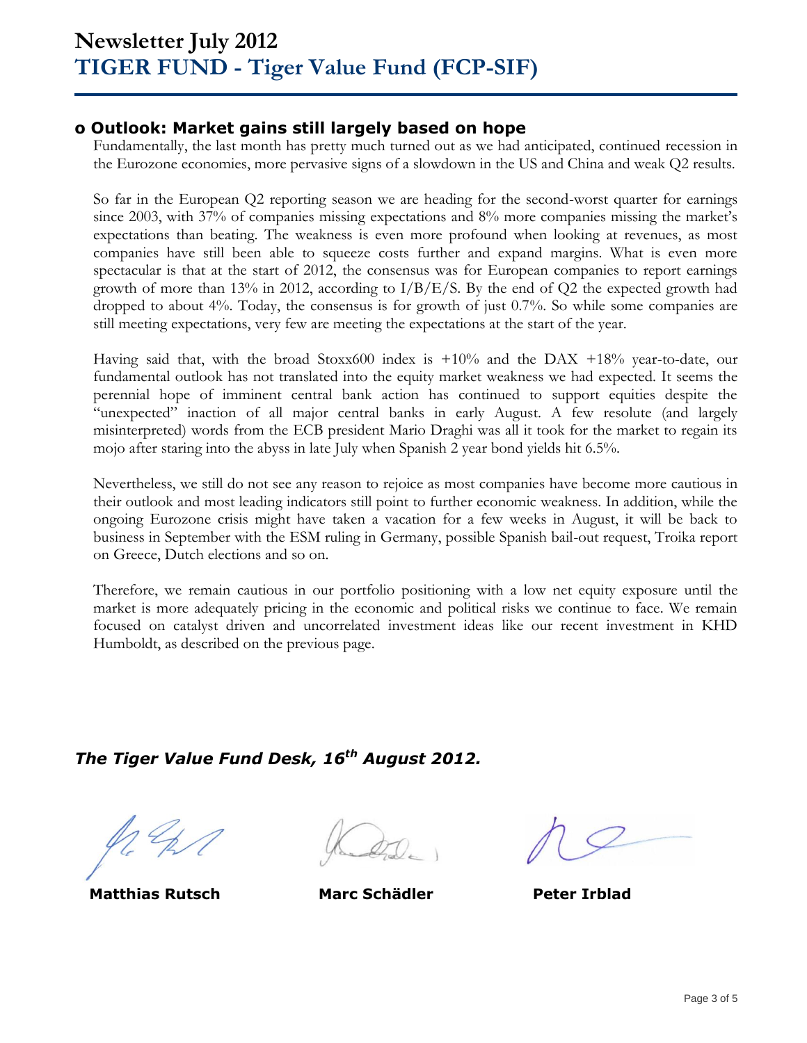## **o Outlook: Market gains still largely based on hope**

Fundamentally, the last month has pretty much turned out as we had anticipated, continued recession in the Eurozone economies, more pervasive signs of a slowdown in the US and China and weak Q2 results.

So far in the European Q2 reporting season we are heading for the second-worst quarter for earnings since 2003, with 37% of companies missing expectations and 8% more companies missing the market's expectations than beating. The weakness is even more profound when looking at revenues, as most companies have still been able to squeeze costs further and expand margins. What is even more spectacular is that at the start of 2012, the consensus was for European companies to report earnings growth of more than 13% in 2012, according to  $I/B/E/S$ . By the end of Q2 the expected growth had dropped to about 4%. Today, the consensus is for growth of just 0.7%. So while some companies are still meeting expectations, very few are meeting the expectations at the start of the year.

Having said that, with the broad Stoxx600 index is +10% and the DAX +18% year-to-date, our fundamental outlook has not translated into the equity market weakness we had expected. It seems the perennial hope of imminent central bank action has continued to support equities despite the "unexpected" inaction of all major central banks in early August. A few resolute (and largely misinterpreted) words from the ECB president Mario Draghi was all it took for the market to regain its mojo after staring into the abyss in late July when Spanish 2 year bond yields hit 6.5%.

Nevertheless, we still do not see any reason to rejoice as most companies have become more cautious in their outlook and most leading indicators still point to further economic weakness. In addition, while the ongoing Eurozone crisis might have taken a vacation for a few weeks in August, it will be back to business in September with the ESM ruling in Germany, possible Spanish bail-out request, Troika report on Greece, Dutch elections and so on.

Therefore, we remain cautious in our portfolio positioning with a low net equity exposure until the market is more adequately pricing in the economic and political risks we continue to face. We remain focused on catalyst driven and uncorrelated investment ideas like our recent investment in KHD Humboldt, as described on the previous page.

# *The Tiger Value Fund Desk, 16 th August 2012.*

**Matthias Rutsch Marc Schädler Peter Irblad**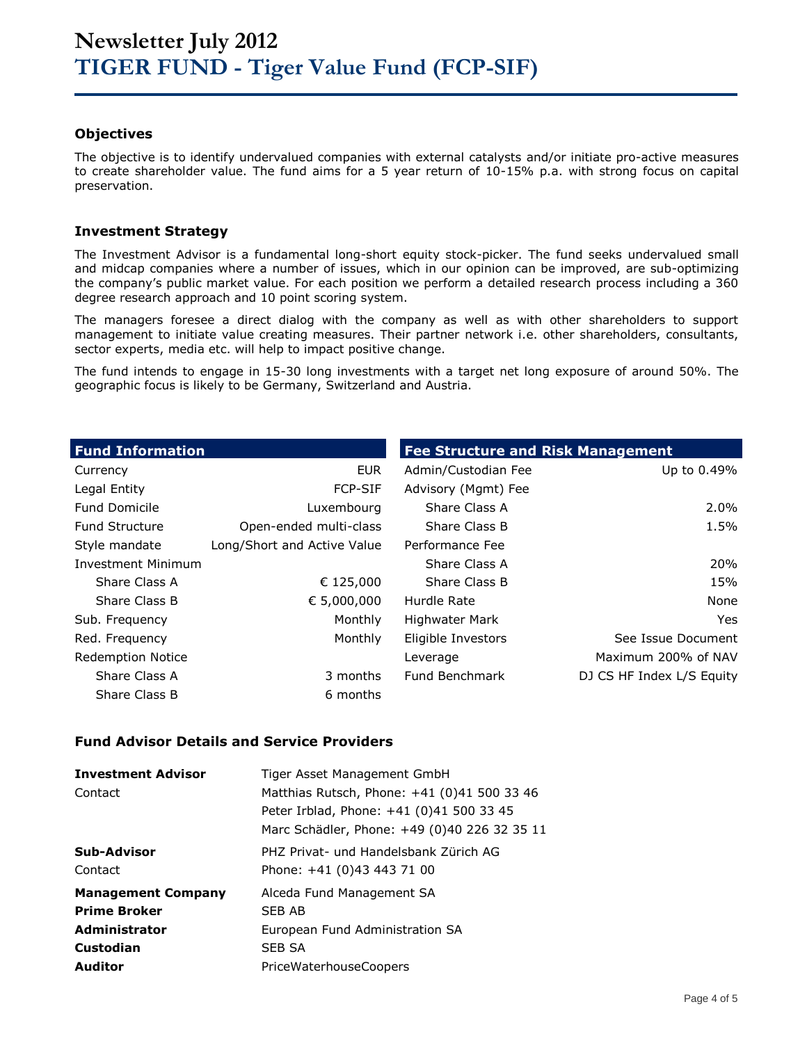### **Objectives**

The objective is to identify undervalued companies with external catalysts and/or initiate pro-active measures to create shareholder value. The fund aims for a 5 year return of 10-15% p.a. with strong focus on capital preservation.

### **Investment Strategy**

The Investment Advisor is a fundamental long-short equity stock-picker. The fund seeks undervalued small and midcap companies where a number of issues, which in our opinion can be improved, are sub-optimizing the company's public market value. For each position we perform a detailed research process including a 360 degree research approach and 10 point scoring system.

The managers foresee a direct dialog with the company as well as with other shareholders to support management to initiate value creating measures. Their partner network i.e. other shareholders, consultants, sector experts, media etc. will help to impact positive change.

The fund intends to engage in 15-30 long investments with a target net long exposure of around 50%. The geographic focus is likely to be Germany, Switzerland and Austria.

| <b>Fund Information</b>  |                             | <b>Fee Structure and Risk Management</b> |                           |  |  |  |
|--------------------------|-----------------------------|------------------------------------------|---------------------------|--|--|--|
| Currency                 | <b>EUR</b>                  | Admin/Custodian Fee                      | Up to 0.49%               |  |  |  |
| Legal Entity             | <b>FCP-SIF</b>              | Advisory (Mgmt) Fee                      |                           |  |  |  |
| <b>Fund Domicile</b>     | Luxembourg                  | Share Class A                            | $2.0\%$                   |  |  |  |
| <b>Fund Structure</b>    | Open-ended multi-class      | Share Class B                            | 1.5%                      |  |  |  |
| Style mandate            | Long/Short and Active Value | Performance Fee                          |                           |  |  |  |
| Investment Minimum       |                             | Share Class A                            | 20%                       |  |  |  |
| Share Class A            | € 125,000                   | Share Class B                            | 15%                       |  |  |  |
| Share Class B            | € 5,000,000                 | Hurdle Rate                              | None                      |  |  |  |
| Sub. Frequency           | Monthly                     | <b>Highwater Mark</b>                    | Yes                       |  |  |  |
| Red. Frequency           | Monthly                     | Eligible Investors                       | See Issue Document        |  |  |  |
| <b>Redemption Notice</b> |                             | Leverage                                 | Maximum 200% of NAV       |  |  |  |
| Share Class A            | 3 months                    | Fund Benchmark                           | DJ CS HF Index L/S Equity |  |  |  |
| Share Class B            | 6 months                    |                                          |                           |  |  |  |

#### **Fund Advisor Details and Service Providers**

| <b>Investment Advisor</b> | Tiger Asset Management GmbH                  |
|---------------------------|----------------------------------------------|
| Contact                   | Matthias Rutsch, Phone: +41 (0)41 500 33 46  |
|                           | Peter Irblad, Phone: +41 (0)41 500 33 45     |
|                           | Marc Schädler, Phone: +49 (0)40 226 32 35 11 |
| Sub-Advisor               | PHZ Privat- und Handelsbank Zürich AG        |
| Contact                   | Phone: +41 (0)43 443 71 00                   |
| <b>Management Company</b> | Alceda Fund Management SA                    |
| <b>Prime Broker</b>       | <b>SEB AB</b>                                |
| <b>Administrator</b>      | European Fund Administration SA              |
| Custodian                 | <b>SEB SA</b>                                |
| <b>Auditor</b>            | <b>PriceWaterhouseCoopers</b>                |